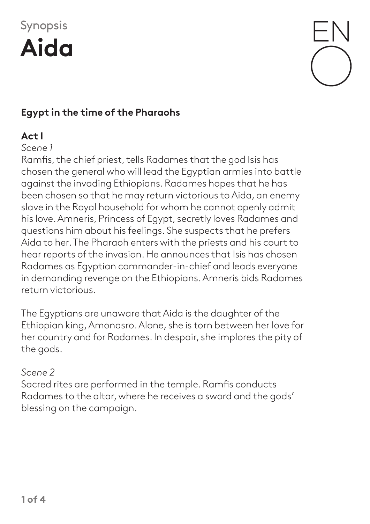# Synopsis





# **Egypt in the time of the Pharaohs**

### **Act I**

#### *Scene 1*

Ramfis, the chief priest, tells Radames that the god Isis has chosen the general who will lead the Egyptian armies into battle against the invading Ethiopians. Radames hopes that he has been chosen so that he may return victorious to Aida, an enemy slave in the Royal household for whom he cannot openly admit his love. Amneris, Princess of Egypt, secretly loves Radames and questions him about his feelings. She suspects that he prefers Aida to her. The Pharaoh enters with the priests and his court to hear reports of the invasion. He announces that Isis has chosen Radames as Egyptian commander-in-chief and leads everyone in demanding revenge on the Ethiopians. Amneris bids Radames return victorious.

The Egyptians are unaware that Aida is the daughter of the Ethiopian king, Amonasro. Alone, she is torn between her love for her country and for Radames. In despair, she implores the pity of the gods.

#### *Scene 2*

Sacred rites are performed in the temple. Ramfis conducts Radames to the altar, where he receives a sword and the gods' blessing on the campaign.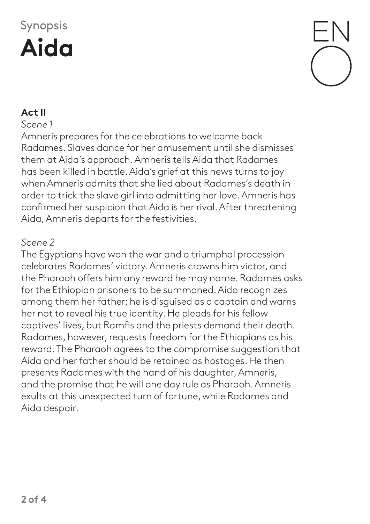# Synopsis **Aida**

### **Act II**

#### *Scene 1*

Amneris prepares for the celebrations to welcome back Radames. Slaves dance for her amusement until she dismisses them at Aida's approach. Amneris tells Aida that Radames has been killed in battle. Aida's grief at this news turns to joy when Amneris admits that she lied about Radames's death in order to trick the slave girl into admitting her love. Amneris has confirmed her suspicion that Aida is her rival. After threatening Aida, Amneris departs for the festivities.

#### *Scene 2*

The Egyptians have won the war and a triumphal procession celebrates Radames' victory. Amneris crowns him victor, and the Pharaoh offers him any reward he may name. Radames asks for the Ethiopian prisoners to be summoned. Aida recognizes among them her father; he is disguised as a captain and warns her not to reveal his true identity. He pleads for his fellow captives' lives, but Ramfis and the priests demand their death. Radames, however, requests freedom for the Ethiopians as his reward. The Pharaoh agrees to the compromise suggestion that Aida and her father should be retained as hostages. He then presents Radames with the hand of his daughter, Amneris, and the promise that he will one day rule as Pharaoh. Amneris exults at this unexpected turn of fortune, while Radames and Aida despair.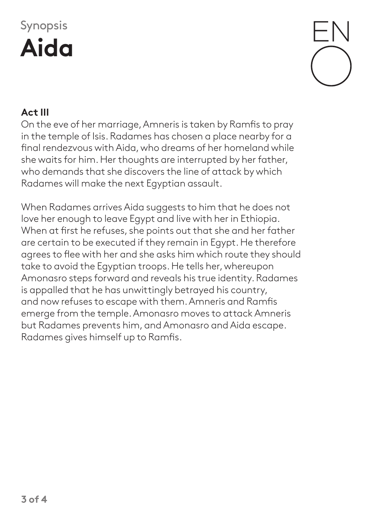# Synopsis **Aida**



## **Act III**

On the eve of her marriage, Amneris is taken by Ramfis to pray in the temple of Isis. Radames has chosen a place nearby for a final rendezvous with Aida, who dreams of her homeland while she waits for him. Her thoughts are interrupted by her father, who demands that she discovers the line of attack by which Radames will make the next Egyptian assault.

When Radames arrives Aida suggests to him that he does not love her enough to leave Egypt and live with her in Ethiopia. When at first he refuses, she points out that she and her father are certain to be executed if they remain in Egypt. He therefore agrees to flee with her and she asks him which route they should take to avoid the Egyptian troops. He tells her, whereupon Amonasro steps forward and reveals his true identity. Radames is appalled that he has unwittingly betrayed his country, and now refuses to escape with them. Amneris and Ramfis emerge from the temple. Amonasro moves to attack Amneris but Radames prevents him, and Amonasro and Aida escape. Radames gives himself up to Ramfis.